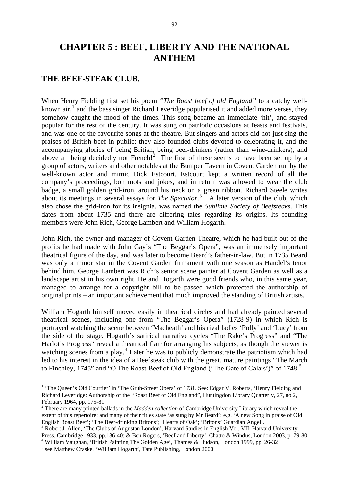# **CHAPTER 5 : BEEF, LIBERTY AND THE NATIONAL ANTHEM**

### **THE BEEF-STEAK CLUB.**

When Henry Fielding first set his poem *"The Roast beef of old England"* to a catchy well-known air,<sup>[1](#page-0-0)</sup> and the bass singer Richard Leveridge popularised it and added more verses, they somehow caught the mood of the times. This song became an immediate 'hit', and stayed popular for the rest of the century. It was sung on patriotic occasions at feasts and festivals, and was one of the favourite songs at the theatre. But singers and actors did not just sing the praises of British beef in public: they also founded clubs devoted to celebrating it, and the accompanying glories of being British, being beer-drinkers (rather than wine-drinkers), and above all being decidedly not French!<sup>[2](#page-0-1)</sup> The first of these seems to have been set up by a group of actors, writers and other notables at the Bumper Tavern in Covent Garden run by the well-known actor and mimic Dick Estcourt. Estcourt kept a written record of all the company's proceedings, bon mots and jokes, and in return was allowed to wear the club badge, a small golden grid-iron, around his neck on a green ribbon. Richard Steele writes about its meetings in several essays for *The Spectator*.<sup>[3](#page-0-2)</sup> A later version of the club, which also chose the grid-iron for its insignia, was named the *Sublime Society of Beefsteaks*. This dates from about 1735 and there are differing tales regarding its origins. Its founding members were John Rich, George Lambert and William Hogarth.

John Rich, the owner and manager of Covent Garden Theatre, which he had built out of the profits he had made with John Gay's "The Beggar's Opera", was an immensely important theatrical figure of the day, and was later to become Beard's father-in-law. But in 1735 Beard was only a minor star in the Covent Garden firmament with one season as Handel's tenor behind him. George Lambert was Rich's senior scene painter at Covent Garden as well as a landscape artist in his own right. He and Hogarth were good friends who, in this same year, managed to arrange for a copyright bill to be passed which protected the authorship of original prints – an important achievement that much improved the standing of British artists.

William Hogarth himself moved easily in theatrical circles and had already painted several theatrical scenes, including one from "The Beggar's Opera" (1728-9) in which Rich is portrayed watching the scene between 'Macheath' and his rival ladies 'Polly' and 'Lucy' from the side of the stage. Hogarth's satirical narrative cycles "The Rake's Progress" and "The Harlot's Progress" reveal a theatrical flair for arranging his subjects, as though the viewer is watching scenes from a play.<sup>[4](#page-0-3)</sup> Later he was to publicly demonstrate the patriotism which had led to his interest in the idea of a Beefsteak club with the great, mature paintings "The March to Finchley, 174[5](#page-0-4)" and "O The Roast Beef of Old England ('The Gate of Calais')" of 1748.<sup>5</sup>

<span id="page-0-4"></span><span id="page-0-3"></span><sup>5</sup> see Matthew Craske, 'William Hogarth', Tate Publishing, London 2000

<span id="page-0-0"></span><sup>&</sup>lt;sup>1</sup> 'The Queen's Old Courtier' in 'The Grub-Street Opera' of 1731. See: Edgar V. Roberts, 'Henry Fielding and Richard Leveridge: Authorship of the "Roast Beef of Old England", Huntingdon Library Quarterly, 27, no.2, February 1964, pp. 175-81

<span id="page-0-1"></span><sup>&</sup>lt;sup>2</sup> There are many printed ballads in the *Madden collection* of Cambridge University Library which reveal the extent of this repertoire; and many of their titles state 'as sung by Mr Beard': e.g. 'A new Song in praise of Old English Roast Beef'; 'The Beer-drinking Britons'; 'Hearts of Oak'; 'Britons' Guardian Angel'.

<span id="page-0-2"></span><sup>&</sup>lt;sup>3</sup> Robert J. Allen, 'The Clubs of Augustan London', Harvard Studies in English Vol. VII, Harvard University Press, Cambridge 1933, pp.136-40; & Ben Rogers, 'Beef and Liberty', Chatto & Windus, London 2003, p. 79-80 4 William Vaughan, 'British Painting The Golden Age', Thames & Hudson, London 1999, pp. 26-32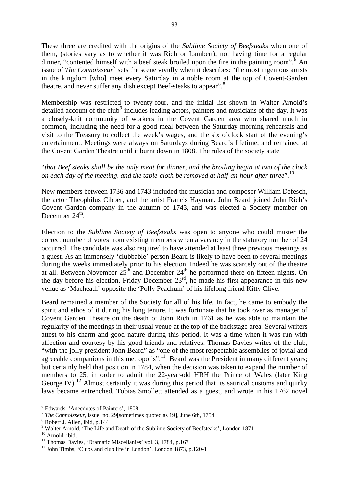These three are credited with the origins of the *Sublime Society of Beefsteaks* when one of them, (stories vary as to whether it was Rich or Lambert), not having time for a regular dinner, "contented himself with a beef steak broiled upon the fire in the painting room".<sup>[6](#page-1-0)</sup> An issue of *The Connoisseur*<sup>[7](#page-1-1)</sup> sets the scene vividly when it describes: "the most ingenious artists in the kingdom [who] meet every Saturday in a noble room at the top of Covent-Garden theatre, and never suffer any dish except Beef-steaks to appear".<sup>[8](#page-1-2)</sup>

Membership was restricted to twenty-four, and the initial list shown in Walter Arnold's detailed account of the club<sup>[9](#page-1-3)</sup> includes leading actors, painters and musicians of the day. It was a closely-knit community of workers in the Covent Garden area who shared much in common, including the need for a good meal between the Saturday morning rehearsals and visit to the Treasury to collect the week's wages, and the six o'clock start of the evening's entertainment. Meetings were always on Saturdays during Beard's lifetime, and remained at the Covent Garden Theatre until it burnt down in 1808. The rules of the society state

### "*that Beef steaks shall be the only meat for dinner, and the broiling begin at two of the clock on each day of the meeting, and the table-cloth be removed at half-an-hour after three*".[10](#page-1-4)

New members between 1736 and 1743 included the musician and composer William Defesch, the actor Theophilus Cibber, and the artist Francis Hayman. John Beard joined John Rich's Covent Garden company in the autumn of 1743, and was elected a Society member on December  $24<sup>th</sup>$ .

Election to the *Sublime Society of Beefsteaks* was open to anyone who could muster the correct number of votes from existing members when a vacancy in the statutory number of 24 occurred. The candidate was also required to have attended at least three previous meetings as a guest. As an immensely 'clubbable' person Beard is likely to have been to several meetings during the weeks immediately prior to his election. Indeed he was scarcely out of the theatre at all. Between November  $25<sup>th</sup>$  and December  $24<sup>th</sup>$  he performed there on fifteen nights. On the day before his election, Friday December 23rd, he made his first appearance in this new venue as 'Macheath' opposite the 'Polly Peachum' of his lifelong friend Kitty Clive.

Beard remained a member of the Society for all of his life. In fact, he came to embody the spirit and ethos of it during his long tenure. It was fortunate that he took over as manager of Covent Garden Theatre on the death of John Rich in 1761 as he was able to maintain the regularity of the meetings in their usual venue at the top of the backstage area. Several writers attest to his charm and good nature during this period. It was a time when it was run with affection and courtesy by his good friends and relatives. Thomas Davies writes of the club, "with the jolly president John Beard" as "one of the most respectable assemblies of jovial and agreeable companions in this metropolis".<sup>[11](#page-1-5)</sup> Beard was the President in many different years; but certainly held that position in 1784, when the decision was taken to expand the number of members to 25, in order to admit the 22-year-old HRH the Prince of Wales (later King George IV).<sup>[12](#page-1-6)</sup> Almost certainly it was during this period that its satirical customs and quirky laws became entrenched. Tobias Smollett attended as a guest, and wrote in his 1762 novel

<span id="page-1-0"></span><sup>6</sup> Edwards, 'Anecdotes of Painters', 1808

<span id="page-1-1"></span><sup>7</sup> *The Connoisseur*, issueno. 29[sometimes quoted as 19]*,* June 6th, 1754 8

<span id="page-1-2"></span>Robert J. Allen, ibid, p.144

<span id="page-1-3"></span><sup>&</sup>lt;sup>9</sup> Walter Arnold, 'The Life and Death of the Sublime Society of Beefsteaks', London 1871

<span id="page-1-4"></span><sup>&</sup>lt;sup>10</sup> Arnold, ibid.

<span id="page-1-5"></span><sup>&</sup>lt;sup>11</sup> Thomas Davies, 'Dramatic Miscellanies' vol. 3, 1784, p.167

<span id="page-1-6"></span><sup>&</sup>lt;sup>12</sup> John Timbs, 'Clubs and club life in London', London 1873, p.120-1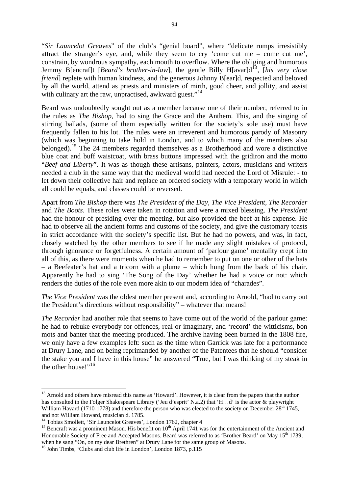"*Sir Launcelot Greaves*" of the club's "genial board", where "delicate rumps irresistibly attract the stranger's eye, and, while they seem to cry 'come cut me – come cut me', constrain, by wondrous sympathy, each mouth to overflow. Where the obliging and humorous Jemmy B[encraf]t [*Beard's brother-in-law*], the gentle Billy H[avar]d<sup>[13](#page-2-0)</sup>, [*his very close friend*] replete with human kindness, and the generous Johnny B[ear]d, respected and beloved by all the world, attend as priests and ministers of mirth, good cheer, and jollity, and assist with culinary art the raw, unpractised, awkward guest."<sup>[14](#page-2-1)</sup>

Beard was undoubtedly sought out as a member because one of their number, referred to in the rules as *The Bishop*, had to sing the Grace and the Anthem. This, and the singing of stirring ballads, (some of them especially written for the society's sole use) must have frequently fallen to his lot. The rules were an irreverent and humorous parody of Masonry (which was beginning to take hold in London, and to which many of the members also belonged).<sup>[15](#page-2-2)</sup> The 24 members regarded themselves as a Brotherhood and wore a distinctive blue coat and buff waistcoat, with brass buttons impressed with the gridiron and the motto "*Beef and Liberty*". It was as though these artisans, painters, actors, musicians and writers needed a club in the same way that the medieval world had needed the Lord of Misrule: - to let down their collective hair and replace an ordered society with a temporary world in which all could be equals, and classes could be reversed.

Apart from *The Bishop* there was *The President of the Day, The Vice President, The Recorder*  and *The Boots*. These roles were taken in rotation and were a mixed blessing. *The President* had the honour of presiding over the meeting, but also provided the beef at his expense. He had to observe all the ancient forms and customs of the society, and give the customary toasts in strict accordance with the society's specific list. But he had no powers, and was, in fact, closely watched by the other members to see if he made any slight mistakes of protocol, through ignorance or forgetfulness. A certain amount of 'parlour game' mentality crept into all of this, as there were moments when he had to remember to put on one or other of the hats – a Beefeater's hat and a tricorn with a plume – which hung from the back of his chair. Apparently he had to sing 'The Song of the Day' whether he had a voice or not: which renders the duties of the role even more akin to our modern idea of "charades".

*The Vice President* was the oldest member present and, according to Arnold, "had to carry out the President's directions without responsibility" – whatever that means!

*The Recorder* had another role that seems to have come out of the world of the parlour game: he had to rebuke everybody for offences, real or imaginary, and 'record' the witticisms, bon mots and banter that the meeting produced. The archive having been burned in the 1808 fire, we only have a few examples left: such as the time when Garrick was late for a performance at Drury Lane, and on being reprimanded by another of the Patentees that he should "consider the stake you and I have in this house" he answered "True, but I was thinking of my steak in the other house!"<sup>[16](#page-2-3)</sup>

<span id="page-2-0"></span><sup>&</sup>lt;sup>13</sup> Arnold and others have misread this name as 'Howard'. However, it is clear from the papers that the author has consulted in the Folger Shakespeare Library ('Jeu d'esprit' N.a.2) that 'H…d' is the actor & playwright William Havard (1710-1778) and therefore the person who was elected to the society on December  $28<sup>th</sup>$  1745, and not William Howard, musician d. 1785.

<sup>&</sup>lt;sup>14</sup> Tobias Smollett, 'Sir Launcelot Greaves', London 1762, chapter 4

<span id="page-2-2"></span><span id="page-2-1"></span><sup>&</sup>lt;sup>15</sup> Bencraft was a prominent Mason. His benefit on  $10<sup>th</sup>$  April 1741 was for the entertainment of the Ancient and Honourable Society of Free and Accepted Masons. Beard was referred to as 'Brother Beard' on May 15<sup>th</sup> 1739, when he sang "On, on my dear Brethren" at Drury Lane for the same group of Masons.

<span id="page-2-3"></span><sup>&</sup>lt;sup>16</sup> John Timbs, 'Clubs and club life in London', London 1873, p.115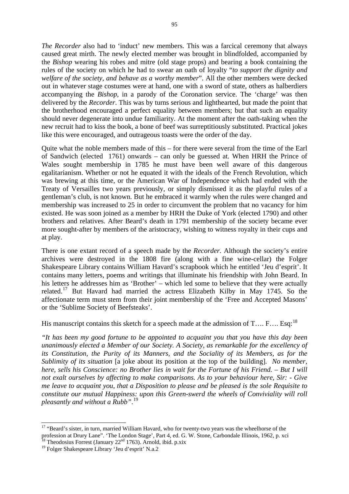*The Recorder* also had to 'induct' new members. This was a farcical ceremony that always caused great mirth. The newly elected member was brought in blindfolded, accompanied by the *Bishop* wearing his robes and mitre (old stage props) and bearing a book containing the rules of the society on which he had to swear an oath of loyalty "*to support the dignity and welfare of the society, and behave as a worthy member*". All the other members were decked out in whatever stage costumes were at hand, one with a sword of state, others as halberdiers accompanying the *Bishop,* in a parody of the Coronation service. The 'charge' was then delivered by the *Recorder*. This was by turns serious and lighthearted, but made the point that the brotherhood encouraged a perfect equality between members; but that such an equality should never degenerate into undue familiarity. At the moment after the oath-taking when the new recruit had to kiss the book, a bone of beef was surreptitiously substituted. Practical jokes like this were encouraged, and outrageous toasts were the order of the day.

Quite what the noble members made of this – for there were several from the time of the Earl of Sandwich (elected 1761) onwards – can only be guessed at. When HRH the Prince of Wales sought membership in 1785 he must have been well aware of this dangerous egalitarianism. Whether or not he equated it with the ideals of the French Revolution, which was brewing at this time, or the American War of Independence which had ended with the Treaty of Versailles two years previously, or simply dismissed it as the playful rules of a gentleman's club, is not known. But he embraced it warmly when the rules were changed and membership was increased to 25 in order to circumvent the problem that no vacancy for him existed. He was soon joined as a member by HRH the Duke of York (elected 1790) and other brothers and relatives. After Beard's death in 1791 membership of the society became ever more sought-after by members of the aristocracy, wishing to witness royalty in their cups and at play.

There is one extant record of a speech made by the *Recorder*. Although the society's entire archives were destroyed in the 1808 fire (along with a fine wine-cellar) the Folger Shakespeare Library contains William Havard's scrapbook which he entitled 'Jeu d'esprit'. It contains many letters, poems and writings that illuminate his friendship with John Beard. In his letters he addresses him as 'Brother' – which led some to believe that they were actually related.[17](#page-3-0) But Havard had married the actress Elizabeth Kilby in May 1745. So the affectionate term must stem from their joint membership of the 'Free and Accepted Masons' or the 'Sublime Society of Beefsteaks'.

His manuscript contains this sketch for a speech made at the admission of  $T...$   $F...$  Esq:<sup>[18](#page-3-1)</sup>

*"It has been my good fortune to be appointed to acquaint you that you have this day been unanimously elected a Member of our Society. A Society, as remarkable for the excellency of its Constitution, the Purity of its Manners, and the Sociality of its Members, as for the Sublimity of its situation* [a joke about its position at the top of the building]*. No member, here, sells his Conscience: no Brother lies in wait for the Fortune of his Friend. – But I will not exalt ourselves by affecting to make comparisons. As to your behaviour here, Sir: - Give me leave to acquaint you, that a Disposition to please and be pleased is the sole Requisite to constitute our mutual Happiness: upon this Green-swerd the wheels of Conviviality will roll pleasantly and without a Rubb"*. [19](#page-3-2)

<span id="page-3-0"></span><sup>&</sup>lt;sup>17</sup> "Beard's sister, in turn, married William Havard, who for twenty-two years was the wheelhorse of the profession at Drury Lane". 'The London Stage', Part 4, ed. G. W. Stone, Carbondale Illinois, 1962, p. xci <sup>18</sup> Theodosius Forrest (January 22<sup>nd</sup> 1763). Arnold, ibid. p.xix

<span id="page-3-2"></span><span id="page-3-1"></span><sup>19</sup> Folger Shakespeare Library 'Jeu d'esprit' N.a.2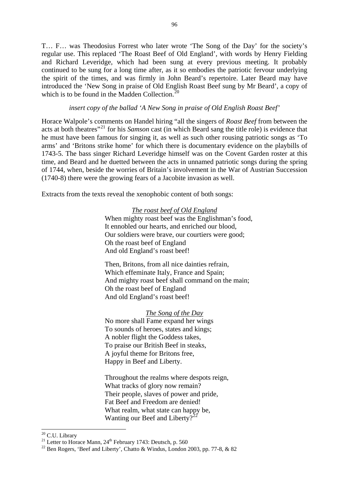T… F… was Theodosius Forrest who later wrote 'The Song of the Day' for the society's regular use. This replaced 'The Roast Beef of Old England', with words by Henry Fielding and Richard Leveridge, which had been sung at every previous meeting. It probably continued to be sung for a long time after, as it so embodies the patriotic fervour underlying the spirit of the times, and was firmly in John Beard's repertoire. Later Beard may have introduced the 'New Song in praise of Old English Roast Beef sung by Mr Beard', a copy of which is to be found in the Madden Collection.<sup>[20](#page-4-0)</sup>

### *insert copy of the ballad 'A New Song in praise of Old English Roast Beef'*

Horace Walpole's comments on Handel hiring "all the singers of *Roast Beef* from between the acts at both theatres<sup>"[21](#page-4-1)</sup> for his *Samson* cast (in which Beard sang the title role) is evidence that he must have been famous for singing it, as well as such other rousing patriotic songs as 'To arms' and 'Britons strike home' for which there is documentary evidence on the playbills of 1743-5. The bass singer Richard Leveridge himself was on the Covent Garden roster at this time, and Beard and he duetted between the acts in unnamed patriotic songs during the spring of 1744, when, beside the worries of Britain's involvement in the War of Austrian Succession (1740-8) there were the growing fears of a Jacobite invasion as well.

Extracts from the texts reveal the xenophobic content of both songs:

*The roast beef of Old England* When mighty roast beef was the Englishman's food, It ennobled our hearts, and enriched our blood, Our soldiers were brave, our courtiers were good; Oh the roast beef of England And old England's roast beef!

Then, Britons, from all nice dainties refrain, Which effeminate Italy, France and Spain; And mighty roast beef shall command on the main; Oh the roast beef of England And old England's roast beef!

*The Song of the Day* No more shall Fame expand her wings To sounds of heroes, states and kings; A nobler flight the Goddess takes, To praise our British Beef in steaks, A joyful theme for Britons free, Happy in Beef and Liberty.

Throughout the realms where despots reign, What tracks of glory now remain? Their people, slaves of power and pride, Fat Beef and Freedom are denied! What realm, what state can happy be. Wanting our Beef and Liberty? $2^{22}$  $2^{22}$  $2^{22}$ 

 $20$  C.U. Library

<span id="page-4-2"></span><span id="page-4-1"></span><span id="page-4-0"></span><sup>&</sup>lt;sup>21</sup> Letter to Horace Mann, 24<sup>th</sup> February 1743: Deutsch, p. 560<br><sup>22</sup> Ben Rogers, 'Beef and Liberty', Chatto & Windus, London 2003, pp. 77-8, & 82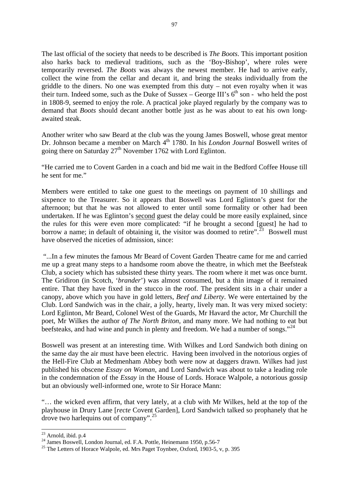The last official of the society that needs to be described is *The Boots*. This important position also harks back to medieval traditions, such as the 'Boy-Bishop', where roles were temporarily reversed. *The Boots* was always the newest member. He had to arrive early, collect the wine from the cellar and decant it, and bring the steaks individually from the griddle to the diners. No one was exempted from this duty – not even royalty when it was their turn. Indeed some, such as the Duke of Sussex – George III's  $6<sup>th</sup>$  son - who held the post in 1808-9, seemed to enjoy the role. A practical joke played regularly by the company was to demand that *Boots* should decant another bottle just as he was about to eat his own longawaited steak.

Another writer who saw Beard at the club was the young James Boswell, whose great mentor Dr. Johnson became a member on March 4<sup>th</sup> 1780. In his *London Journal* Boswell writes of going there on Saturday  $27<sup>th</sup>$  November 1762 with Lord Eglinton.

"He carried me to Covent Garden in a coach and bid me wait in the Bedford Coffee House till he sent for me."

Members were entitled to take one guest to the meetings on payment of 10 shillings and sixpence to the Treasurer. So it appears that Boswell was Lord Eglinton's guest for the afternoon; but that he was not allowed to enter until some formality or other had been undertaken. If he was Eglinton's second guest the delay could be more easily explained, since the rules for this were even more complicated: "if he brought a second [guest] he had to borrow a name; in default of obtaining it, the visitor was doomed to retire".<sup>[23](#page-5-0)</sup> Boswell must have observed the niceties of admission, since:

 "...In a few minutes the famous Mr Beard of Covent Garden Theatre came for me and carried me up a great many steps to a handsome room above the theatre, in which met the Beefsteak Club, a society which has subsisted these thirty years. The room where it met was once burnt. The Gridiron (in Scotch, '*brander*') was almost consumed, but a thin image of it remained entire. That they have fixed in the stucco in the roof. The president sits in a chair under a canopy, above which you have in gold letters, *Beef and Liberty*. We were entertained by the Club. Lord Sandwich was in the chair, a jolly, hearty, lively man. It was very mixed society: Lord Eglinton, Mr Beard, Colonel West of the Guards, Mr Havard the actor, Mr Churchill the poet, Mr Wilkes the author *of The North Briton*, and many more. We had nothing to eat but beefsteaks, and had wine and punch in plenty and freedom. We had a number of songs."<sup>[24](#page-5-1)</sup>

Boswell was present at an interesting time. With Wilkes and Lord Sandwich both dining on the same day the air must have been electric. Having been involved in the notorious orgies of the Hell-Fire Club at Medmenham Abbey both were now at daggers drawn. Wilkes had just published his obscene *Essay on Woman*, and Lord Sandwich was about to take a leading role in the condemnation of the *Essay* in the House of Lords. Horace Walpole, a notorious gossip but an obviously well-informed one, wrote to Sir Horace Mann:

"… the wicked even affirm, that very lately, at a club with Mr Wilkes, held at the top of the playhouse in Drury Lane [*recte* Covent Garden], Lord Sandwich talked so prophanely that he drove two harlequins out of company".[25](#page-5-2)

<span id="page-5-0"></span> $23$  Arnold, ibid. p.4

<span id="page-5-2"></span><span id="page-5-1"></span><sup>&</sup>lt;sup>25</sup> The Letters of Horace Walpole, ed. Mrs Paget Toynbee, Oxford, 1903-5, v, p. 395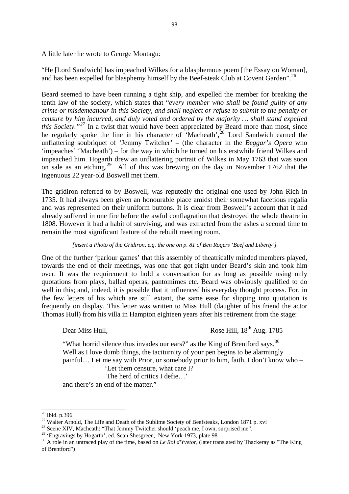A little later he wrote to George Montagu:

"He [Lord Sandwich] has impeached Wilkes for a blasphemous poem [the Essay on Woman], and has been expelled for blasphemy himself by the Beef-steak Club at Covent Garden".<sup>[26](#page-6-0)</sup>

Beard seemed to have been running a tight ship, and expelled the member for breaking the tenth law of the society, which states that "*every member who shall be found guilty of any crime or misdemeanour in this Society, and shall neglect or refuse to submit to the penalty or censure by him incurred, and duly voted and ordered by the majority … shall stand expelled this Society.*"<sup>[27](#page-6-1)</sup> In a twist that would have been appreciated by Beard more than most, since he regularly spoke the line in his character of 'Macheath',<sup>[28](#page-6-2)</sup> Lord Sandwich earned the unflattering soubriquet of 'Jemmy Twitcher' – (the character in the *Beggar's Opera* who 'impeaches' 'Macheath') – for the way in which he turned on his erstwhile friend Wilkes and impeached him. Hogarth drew an unflattering portrait of Wilkes in May 1763 that was soon on sale as an etching.[29](#page-6-3) All of this was brewing on the day in November 1762 that the ingenuous 22 year-old Boswell met them.

The gridiron referred to by Boswell, was reputedly the original one used by John Rich in 1735. It had always been given an honourable place amidst their somewhat facetious regalia and was represented on their uniform buttons. It is clear from Boswell's account that it had already suffered in one fire before the awful conflagration that destroyed the whole theatre in 1808. However it had a habit of surviving, and was extracted from the ashes a second time to remain the most significant feature of the rebuilt meeting room.

#### *[insert a Photo of the Gridiron, e.g. the one on p. 81 of Ben Rogers 'Beef and Liberty']*

One of the further 'parlour games' that this assembly of theatrically minded members played, towards the end of their meetings, was one that got right under Beard's skin and took him over. It was the requirement to hold a conversation for as long as possible using only quotations from plays, ballad operas, pantomimes etc. Beard was obviously qualified to do well in this; and, indeed, it is possible that it influenced his everyday thought process. For, in the few letters of his which are still extant, the same ease for slipping into quotation is frequently on display. This letter was written to Miss Hull (daughter of his friend the actor Thomas Hull) from his villa in Hampton eighteen years after his retirement from the stage:

## Dear Miss Hull,  $\qquad \qquad$  Rose Hill, 18<sup>th</sup> Aug. 1785

"What horrid silence thus invades our ears?" as the King of Brentford savs.<sup>[30](#page-6-4)</sup> Well as I love dumb things, the taciturnity of your pen begins to be alarmingly painful… Let me say with Prior, or somebody prior to him, faith, I don't know who – 'Let them censure, what care I?

The herd of critics I defie…'

and there's an end of the matter."

 $26$  Ibid. p.396

<span id="page-6-1"></span><span id="page-6-0"></span><sup>&</sup>lt;sup>27</sup> Walter Arnold, The Life and Death of the Sublime Society of Beefsteaks, London 1871 p. xvi

<span id="page-6-2"></span><sup>&</sup>lt;sup>28</sup> Scene XIV, Macheath: "That Jemmy Twitcher should 'peach me, I own, surprised me".

<span id="page-6-3"></span><sup>&</sup>lt;sup>29</sup> 'Engravings by Hogarth', ed. Sean Shesgreen, New York 1973, plate 98

<span id="page-6-4"></span><sup>&</sup>lt;sup>30</sup> A role in an untraced play of the time, based on *Le Roi d'Yvetor*, (later translated by Thackeray as "The King of Brentford")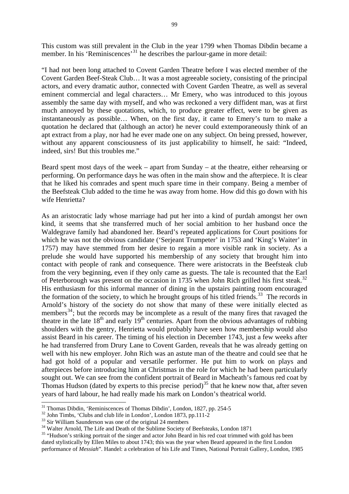This custom was still prevalent in the Club in the year 1799 when Thomas Dibdin became a member. In his 'Reminiscences'<sup>[31](#page-7-0)</sup> he describes the parlour-game in more detail:

"I had not been long attached to Covent Garden Theatre before I was elected member of the Covent Garden Beef-Steak Club… It was a most agreeable society, consisting of the principal actors, and every dramatic author, connected with Covent Garden Theatre, as well as several eminent commercial and legal characters… Mr Emery, who was introduced to this joyous assembly the same day with myself, and who was reckoned a very diffident man, was at first much annoyed by these quotations, which, to produce greater effect, were to be given as instantaneously as possible… When, on the first day, it came to Emery's turn to make a quotation he declared that (although an actor) he never could extemporaneously think of an apt extract from a play, nor had he ever made one on any subject. On being pressed, however, without any apparent consciousness of its just applicability to himself, he said: "Indeed, indeed, sirs! But this troubles me."

Beard spent most days of the week – apart from Sunday – at the theatre, either rehearsing or performing. On performance days he was often in the main show and the afterpiece. It is clear that he liked his comrades and spent much spare time in their company. Being a member of the Beefsteak Club added to the time he was away from home. How did this go down with his wife Henrietta?

As an aristocratic lady whose marriage had put her into a kind of purdah amongst her own kind, it seems that she transferred much of her social ambition to her husband once the Waldegrave family had abandoned her. Beard's repeated applications for Court positions for which he was not the obvious candidate ('Serjeant Trumpeter' in 1753 and 'King's Waiter' in 1757) may have stemmed from her desire to regain a more visible rank in society. As a prelude she would have supported his membership of any society that brought him into contact with people of rank and consequence. There were aristocrats in the Beefsteak club from the very beginning, even if they only came as guests. The tale is recounted that the Earl of Peterborough was present on the occasion in 1735 when John Rich grilled his first steak.<sup>[32](#page-7-1)</sup> His enthusiasm for this informal manner of dining in the upstairs painting room encouraged the formation of the society, to which he brought groups of his titled friends.<sup>[33](#page-7-2)</sup> The records in Arnold's history of the society do not show that many of these were initially elected as members<sup>[34](#page-7-3)</sup>; but the records may be incomplete as a result of the many fires that ravaged the theatre in the late  $18<sup>th</sup>$  and early  $19<sup>th</sup>$  centuries. Apart from the obvious advantages of rubbing shoulders with the gentry, Henrietta would probably have seen how membership would also assist Beard in his career. The timing of his election in December 1743, just a few weeks after he had transferred from Drury Lane to Covent Garden, reveals that he was already getting on well with his new employer. John Rich was an astute man of the theatre and could see that he had got hold of a popular and versatile performer. He put him to work on plays and afterpieces before introducing him at Christmas in the role for which he had been particularly sought out. We can see from the confident portrait of Beard in Macheath's famous red coat by Thomas Hudson (dated by experts to this precise period)<sup>[35](#page-7-4)</sup> that he knew now that, after seven years of hard labour, he had really made his mark on London's theatrical world.

<span id="page-7-0"></span><sup>&</sup>lt;sup>31</sup> Thomas Dibdin, 'Reminiscences of Thomas Dibdin', London, 1827, pp. 254-5

<span id="page-7-1"></span><sup>32</sup> John Timbs, 'Clubs and club life in London', London 1873, pp.111-2

<span id="page-7-2"></span>

 $33$  Sir William Saunderson was one of the original 24 members<br> $34$  Walter Arnold, The Life and Death of the Sublime Society of Beefsteaks, London 1871

<span id="page-7-4"></span><span id="page-7-3"></span><sup>&</sup>lt;sup>35</sup> "Hudson's striking portrait of the singer and actor John Beard in his red coat trimmed with gold has been dated stylistically by Ellen Miles to about 1743; this was the year when Beard appeared in the first London performance of *Messiah*". Handel: a celebration of his Life and Times, National Portrait Gallery, London, 1985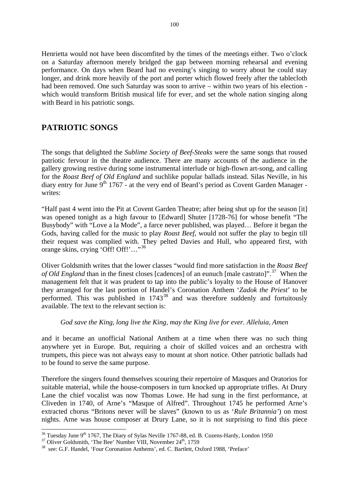Henrietta would not have been discomfited by the times of the meetings either. Two o'clock on a Saturday afternoon merely bridged the gap between morning rehearsal and evening performance. On days when Beard had no evening's singing to worry about he could stay longer, and drink more heavily of the port and porter which flowed freely after the tablecloth had been removed. One such Saturday was soon to arrive – within two years of his election which would transform British musical life for ever, and set the whole nation singing along with Beard in his patriotic songs.

## **PATRIOTIC SONGS**

The songs that delighted the *Sublime Society of Beef-Steaks* were the same songs that roused patriotic fervour in the theatre audience. There are many accounts of the audience in the gallery growing restive during some instrumental interlude or high-flown art-song, and calling for the *Roast Beef of Old England* and suchlike popular ballads instead. Silas Neville, in his diary entry for June  $9<sup>th</sup> 1767$  - at the very end of Beard's period as Covent Garden Manager writes:

"Half past 4 went into the Pit at Covent Garden Theatre; after being shut up for the season [it] was opened tonight as a high favour to [Edward] Shuter [1728-76] for whose benefit "The Busybody" with "Love a la Mode", a farce never published, was played… Before it began the Gods, having called for the music to play *Roast Beef,* would not suffer the play to begin till their request was complied with. They pelted Davies and Hull, who appeared first, with orange skins, crying 'Off! Off!'…"<sup>[36](#page-8-0)</sup>

Oliver Goldsmith writes that the lower classes "would find more satisfaction in the *Roast Beef of Old England* than in the finest closes [cadences] of an eunuch [male castrato]".<sup>[37](#page-8-1)</sup> When the management felt that it was prudent to tap into the public's loyalty to the House of Hanover they arranged for the last portion of Handel's Coronation Anthem '*Zadok the Priest*' to be performed. This was published in  $1743^{38}$  $1743^{38}$  $1743^{38}$  and was therefore suddenly and fortuitously available. The text to the relevant section is:

### *God save the King, long live the King, may the King live for ever. Alleluia, Amen*

and it became an unofficial National Anthem at a time when there was no such thing anywhere yet in Europe. But, requiring a choir of skilled voices and an orchestra with trumpets, this piece was not always easy to mount at short notice. Other patriotic ballads had to be found to serve the same purpose.

Therefore the singers found themselves scouring their repertoire of Masques and Oratorios for suitable material, while the house-composers in turn knocked up appropriate trifles. At Drury Lane the chief vocalist was now Thomas Lowe. He had sung in the first performance, at Cliveden in 1740, of Arne's "Masque of Alfred". Throughout 1745 he performed Arne's extracted chorus "Britons never will be slaves" (known to us as '*Rule Britannia'*) on most nights. Arne was house composer at Drury Lane, so it is not surprising to find this piece

<span id="page-8-0"></span><sup>&</sup>lt;sup>36</sup> Tuesday June 9<sup>th</sup> 1767, The Diary of Sylas Neville 1767-88, ed. B. Cozens-Hardy, London 1950<br><sup>37</sup> Oliver Goldsmith, 'The Bee' Number VIII, November 24<sup>th</sup>, 1759<br><sup>38</sup> see: G.F. Handel, 'Four Coronation Anthems', ed.

<span id="page-8-1"></span>

<span id="page-8-2"></span>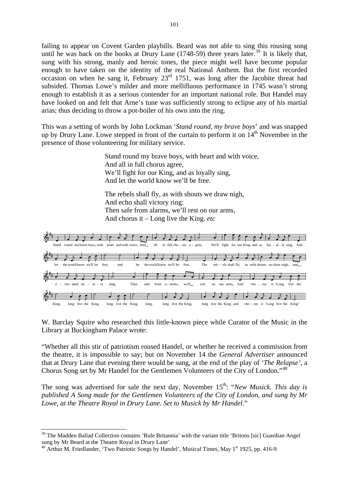failing to appear on Covent Garden playbills. Beard was not able to sing this rousing song until he was back on the books at Drury Lane  $(1748-59)$  three years later.<sup>[39](#page-9-0)</sup> It is likely that, sung with his strong, manly and heroic tones, the piece might well have become popular enough to have taken on the identity of the real National Anthem. But the first recorded occasion on when he sang it, February  $23<sup>rd</sup> 1751$ , was long after the Jacobite threat had subsided. Thomas Lowe's milder and more mellifluous performance in 1745 wasn't strong enough to establish it as a serious contender for an important national role. But Handel may have looked on and felt that Arne's tune was sufficiently strong to eclipse any of his martial arias; thus deciding to throw a pot-boiler of his own into the ring.

This was a setting of words by John Lockman '*Stand round, my brave boys*' and was snapped up by Drury Lane. Lowe stepped in front of the curtain to perform it on  $14<sup>th</sup>$  November in the presence of those volunteering for military service.

> Stand round my brave boys, with heart and with voice, And all in full chorus agree, We'll fight for our King, and as loyally sing, And let the world know we'll be free.

 The rebels shall fly, as with shouts we draw nigh, And echo shall victory ring: Then safe from alarms, we'll rest on our arms, And chorus it – Long live the King. *etc* 



W. Barclay Squire who researched this little-known piece while Curator of the Music in the Library at Buckingham Palace wrote:

"Whether all this stir of patriotism roused Handel, or whether he received a commission from the theatre, it is impossible to say; but on November 14 the *General Advertiser* announced that at Drury Lane that evening there would be sung, at the end of the play of *'The Relapse'*, a Chorus Song set by Mr Handel for the Gentlemen Volunteers of the City of London."[40](#page-9-1)

The song was advertised for sale the next day, November 15<sup>th</sup>: "*New Musick. This day is published A Song made for the Gentlemen Volunteers of the City of London, and sung by Mr Lowe, at the Theatre Royal in Drury Lane. Set to Musick by Mr Handel*."

<span id="page-9-0"></span><sup>&</sup>lt;sup>39</sup> The Madden Ballad Collection contains 'Rule Britannia' with the variant title 'Britons [sic] Guardian Angel sung by Mr Beard at the Theatre Royal in Drury Lane'<br><sup>40</sup> Arthur M. Friedlander, 'Two Patriotic Songs by Handel', Musical Times, May 1<sup>st</sup> 1925, pp. 416-9

<span id="page-9-1"></span>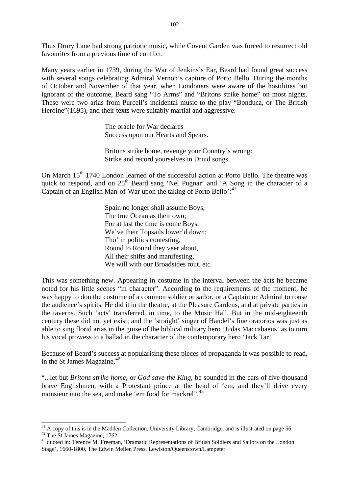Thus Drury Lane had strong patriotic music, while Covent Garden was forced to resurrect old favourites from a previous time of conflict.

Many years earlier in 1739, during the War of Jenkins's Ear, Beard had found great success with several songs celebrating Admiral Vernon's capture of Porto Bello. During the months of October and November of that year, when Londoners were aware of the hostilities but ignorant of the outcome, Beard sang "To Arms" and "Britons strike home" on most nights. These were two arias from Purcell's incidental music to the play "Bonduca, or The British Heroine"(1695), and their texts were suitably martial and aggressive:

> The oracle for War declares Success upon our Hearts and Spears.

Britons strike home, revenge your Country's wrong: Strike and record yourselves in Druid songs.

On March 15<sup>th</sup> 1740 London learned of the successful action at Porto Bello. The theatre was quick to respond, and on 25<sup>th</sup> Beard sang 'Nel Pugnar' and 'A Song in the character of a Captain of an English Man-of-War upon the taking of Porto Bello': $41$ 

> Spain no longer shall assume Boys, The true Ocean as their own; For at last the time is come Boys, We've their Topsails lower'd down: Tho' in politics contesting, Round to Round they veer about, All their shifts and manifesting, We will with our Broadsides rout, etc.

This was something new. Appearing in costume in the interval between the acts he became noted for his little scenes "in character". According to the requirements of the moment, he was happy to don the costume of a common soldier or sailor, or a Captain or Admiral to rouse the audience's spirits. He did it in the theatre, at the Pleasure Gardens, and at private parties in the taverns. Such 'acts' transferred, in time, to the Music Hall. But in the mid-eighteenth century these did not yet exist; and the 'straight' singer of Handel's fine oratorios was just as able to sing florid arias in the guise of the biblical military hero 'Judas Maccabaeus' as to turn his vocal prowess to a ballad in the character of the contemporary hero 'Jack Tar'.

Because of Beard's success at popularising these pieces of propaganda it was possible to read, in the St James Magazine,  $42$ 

"...let but *Britons strike home*, or *God save the King*, be sounded in the ears of five thousand brave Englishmen, with a Protestant prince at the head of 'em, and they'll drive every monsieur into the sea, and make 'em food for mackrel".<sup>[43](#page-10-2)</sup>

<sup>&</sup>lt;sup>41</sup> A copy of this is in the Madden Collection, University Library, Cambridge, and is illustrated on page 56  $^{42}$  The St James Magazine, 1762

<span id="page-10-2"></span><span id="page-10-1"></span><span id="page-10-0"></span><sup>&</sup>lt;sup>42</sup> The St James Magazine, 1762<br><sup>43</sup> quoted in: Terence M. Freeman, 'Dramatic Representations of British Soldiers and Sailors on the London Stage', 1660-1800, The Edwin Mellen Press, Lewiston/Queenstown/Lampeter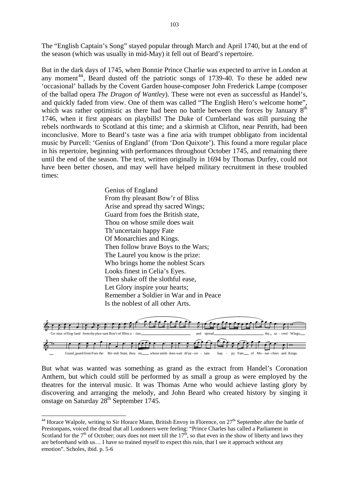The "English Captain's Song" stayed popular through March and April 1740, but at the end of the season (which was usually in mid-May) it fell out of Beard's repertoire.

But in the dark days of 1745, when Bonnie Prince Charlie was expected to arrive in London at any moment<sup>[44](#page-11-0)</sup>, Beard dusted off the patriotic songs of 1739-40. To these he added new 'occasional' ballads by the Covent Garden house-composer John Frederick Lampe (composer of the ballad opera *The Dragon of Wantley*). These were not even as successful as Handel's, and quickly faded from view. One of them was called "The English Hero's welcome home", which was rather optimistic as there had been no battle between the forces by January  $8<sup>th</sup>$ 1746, when it first appears on playbills! The Duke of Cumberland was still pursuing the rebels northwards to Scotland at this time; and a skirmish at Clifton, near Penrith, had been inconclusive. More to Beard's taste was a fine aria with trumpet obbligato from incidental music by Purcell: 'Genius of England' (from 'Don Quixote'). This found a more regular place in his repertoire, beginning with performances throughout October 1745, and remaining there until the end of the season. The text, written originally in 1694 by Thomas Durfey, could not have been better chosen, and may well have helped military recruitment in these troubled times:

> Genius of England From thy pleasant Bow'r of Bliss Arise and spread thy sacred Wings; Guard from foes the British state, Thou on whose smile does wait Th'uncertain happy Fate Of Monarchies and Kings. Then follow brave Boys to the Wars; The Laurel you know is the prize: Who brings home the noblest Scars Looks finest in Celia's Eyes. Then shake off the slothful ease, Let Glory inspire your hearts; Remember a Soldier in War and in Peace Is the noblest of all other Arts.



But what was wanted was something as grand as the extract from Handel's Coronation Anthem, but which could still be performed by as small a group as were employed by the theatres for the interval music. It was Thomas Arne who would achieve lasting glory by discovering and arranging the melody, and John Beard who created history by singing it onstage on Saturday  $28^{th}$  September 1745.

<span id="page-11-0"></span><sup>&</sup>lt;sup>44</sup> Horace Walpole, writing to Sir Horace Mann, British Envoy in Florence, on  $27<sup>th</sup>$  September after the battle of Prestonpans, voiced the dread that all Londoners were feeling: "Prince Charles has called a Parliament in Scotland for the  $7<sup>th</sup>$  of October; ours does not meet till the  $17<sup>th</sup>$ , so that even in the show of liberty and laws they are beforehand with us… I have so trained myself to expect this ruin, that I see it approach without any emotion". Scholes, ibid. p. 5-6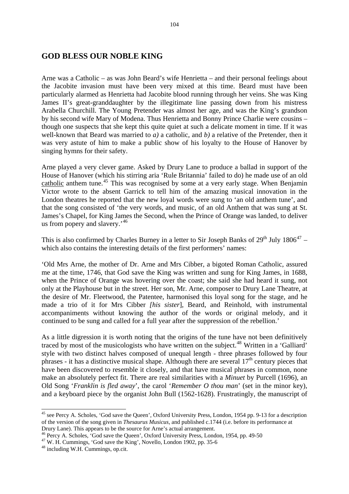### **GOD BLESS OUR NOBLE KING**

Arne was a Catholic – as was John Beard's wife Henrietta – and their personal feelings about the Jacobite invasion must have been very mixed at this time. Beard must have been particularly alarmed as Henrietta had Jacobite blood running through her veins. She was King James II's great-granddaughter by the illegitimate line passing down from his mistress Arabella Churchill. The Young Pretender was almost her age, and was the King's grandson by his second wife Mary of Modena. Thus Henrietta and Bonny Prince Charlie were cousins – though one suspects that she kept this quite quiet at such a delicate moment in time. If it was well-known that Beard was married to *a)* a catholic, and *b)* a relative of the Pretender, then it was very astute of him to make a public show of his loyalty to the House of Hanover by singing hymns for their safety.

Arne played a very clever game. Asked by Drury Lane to produce a ballad in support of the House of Hanover (which his stirring aria 'Rule Britannia' failed to do) he made use of an old catholic anthem tune.<sup>[45](#page-12-0)</sup> This was recognised by some at a very early stage. When Benjamin Victor wrote to the absent Garrick to tell him of the amazing musical innovation in the London theatres he reported that the new loyal words were sung to 'an old anthem tune', and that the song consisted of 'the very words, and music, of an old Anthem that was sung at St. James's Chapel, for King James the Second, when the Prince of Orange was landed, to deliver us from popery and slavery.<sup>[46](#page-12-1)</sup>

This is also confirmed by Charles Burney in a letter to Sir Joseph Banks of  $29^{th}$  July  $1806^{47}$  $1806^{47}$  $1806^{47}$  – which also contains the interesting details of the first performers' names:

'Old Mrs Arne, the mother of Dr. Arne and Mrs Cibber, a bigoted Roman Catholic, assured me at the time, 1746, that God save the King was written and sung for King James, in 1688, when the Prince of Orange was hovering over the coast; she said she had heard it sung, not only at the Playhouse but in the street. Her son, Mr. Arne, composer to Drury Lane Theatre, at the desire of Mr. Fleetwood, the Patentee, harmonised this loyal song for the stage, and he made a trio of it for Mrs Cibber *[his sister*], Beard, and Reinhold, with instrumental accompaniments without knowing the author of the words or original melody, and it continued to be sung and called for a full year after the suppression of the rebellion.'

As a little digression it is worth noting that the origins of the tune have not been definitively traced by most of the musicologists who have written on the subject.<sup>[48](#page-12-3)</sup> Written in a 'Galliard' style with two distinct halves composed of unequal length - three phrases followed by four phrases - it has a distinctive musical shape. Although there are several  $17<sup>th</sup>$  century pieces that have been discovered to resemble it closely, and that have musical phrases in common, none make an absolutely perfect fit. There are real similarities with a *Minuet* by Purcell (1696), an Old Song '*Franklin is fled away*', the carol '*Remember O thou man*' (set in the minor key), and a keyboard piece by the organist John Bull (1562-1628). Frustratingly, the manuscript of

<span id="page-12-0"></span><sup>&</sup>lt;sup>45</sup> see Percy A. Scholes, 'God save the Queen', Oxford University Press, London, 1954 pp. 9-13 for a description of the version of the song given in *Thesaurus Musicus*, and published c.1744 (i.e. before its performance at Drury Lane). This appears to be the source for Arne's actual arrangement.

<sup>&</sup>lt;sup>46</sup> Percy A. Scholes, 'God save the Queen', Oxford University Press, London, 1954, pp. 49-50

<span id="page-12-2"></span><span id="page-12-1"></span><sup>47</sup> W. H. Cummings, 'God save the King', Novello, London 1902, pp. 35-6

<span id="page-12-3"></span><sup>48</sup> including W.H. Cummings, op.cit.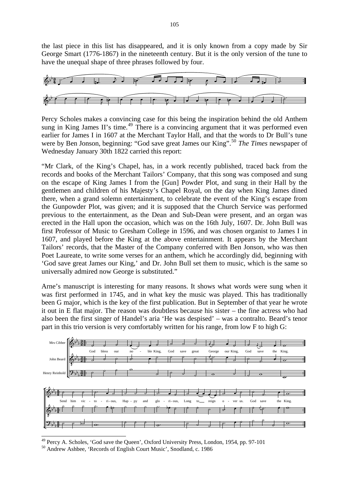the last piece in this list has disappeared, and it is only known from a copy made by Sir George Smart (1776-1867) in the nineteenth century. But it is the only version of the tune to have the unequal shape of three phrases followed by four.



Percy Scholes makes a convincing case for this being the inspiration behind the old Anthem sung in King James II's time.<sup>[49](#page-13-0)</sup> There is a convincing argument that it was performed even earlier for James I in 1607 at the Merchant Taylor Hall, and that the words to Dr Bull's tune were by Ben Jonson, beginning: "God save great James our King".<sup>[50](#page-13-1)</sup> *The Times* newspaper of Wednesday January 30th 1822 carried this report:

"Mr Clark, of the King's Chapel, has, in a work recently published, traced back from the records and books of the Merchant Tailors' Company, that this song was composed and sung on the escape of King James I from the [Gun] Powder Plot, and sung in their Hall by the gentlemen and children of his Majesty's Chapel Royal, on the day when King James dined there, when a grand solemn entertainment, to celebrate the event of the King's escape from the Gunpowder Plot, was given; and it is supposed that the Church Service was performed previous to the entertainment, as the Dean and Sub-Dean were present, and an organ was erected in the Hall upon the occasion, which was on the 16th July, 1607. Dr. John Bull was first Professor of Music to Gresham College in 1596, and was chosen organist to James I in 1607, and played before the King at the above entertainment. It appears by the Merchant Tailors' records, that the Master of the Company conferred with Ben Jonson, who was then Poet Laureate, to write some verses for an anthem, which he accordingly did, beginning with 'God save great James our King,' and Dr. John Bull set them to music, which is the same so universally admired now George is substituted."

Arne's manuscript is interesting for many reasons. It shows what words were sung when it was first performed in 1745, and in what key the music was played. This has traditionally been G major, which is the key of the first publication. But in September of that year he wrote it out in E flat major. The reason was doubtless because his sister – the fine actress who had also been the first singer of Handel's aria 'He was despised' – was a contralto. Beard's tenor part in this trio version is very comfortably written for his range, from low F to high G:



<span id="page-13-1"></span><span id="page-13-0"></span><sup>&</sup>lt;sup>49</sup> Percy A. Scholes, 'God save the Queen', Oxford University Press, London, 1954, pp. 97-101  $^{50}$  Andrew Ashbee, 'Records of English Court Music', Snodland, c. 1986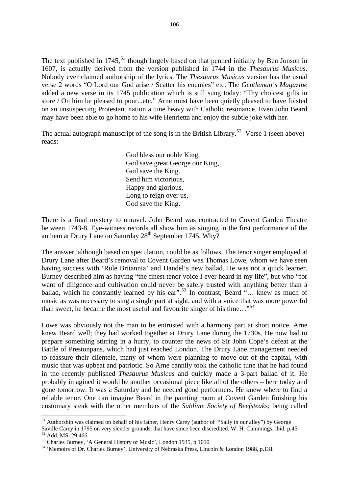The text published in  $1745$ ,<sup>[51](#page-14-0)</sup> though largely based on that penned initially by Ben Jonson in 1607, is actually derived from the version published in 1744 in the *Thesaurus Musicus*. Nobody ever claimed authorship of the lyrics. The *Thesaurus Musicus* version has the usual verse 2 words "O Lord our God arise / Scatter his enemies" etc. The *Gentleman's Magazine* added a new verse in its 1745 publication which is still sung today: "Thy choicest gifts in store / On him be pleased to pour...etc." Arne must have been quietly pleased to have foisted on an unsuspecting Protestant nation a tune heavy with Catholic resonance. Even John Beard may have been able to go home to his wife Henrietta and enjoy the subtle joke with her.

The actual autograph manuscript of the song is in the British Library.<sup>[52](#page-14-1)</sup> Verse 1 (seen above) reads:

> God bless our noble King, God save great George our King, God save the King. Send him victorious, Happy and glorious, Long to reign over us, God save the King.

There is a final mystery to unravel. John Beard was contracted to Covent Garden Theatre between 1743-8. Eye-witness records all show him as singing in the first performance of the anthem at Drury Lane on Saturday 28<sup>th</sup> September 1745. Why?

The answer, although based on speculation, could be as follows. The tenor singer employed at Drury Lane after Beard's removal to Covent Garden was Thomas Lowe, whom we have seen having success with 'Rule Britannia' and Handel's new ballad. He was not a quick learner. Burney described him as having "the finest tenor voice I ever heard in my life", but who "for want of diligence and cultivation could never be safely trusted with anything better than a ballad, which he constantly learned by his ear".<sup>[53](#page-14-2)</sup> In contrast, Beard "... knew as much of music as was necessary to sing a single part at sight, and with a voice that was more powerful than sweet, he became the most useful and favourite singer of his time..."<sup>[54](#page-14-3)</sup>

Lowe was obviously not the man to be entrusted with a harmony part at short notice. Arne knew Beard well; they had worked together at Drury Lane during the 1730s. He now had to prepare something stirring in a hurry, to counter the news of Sir John Cope's defeat at the Battle of Prestonpans, which had just reached London. The Drury Lane management needed to reassure their clientele, many of whom were planning to move out of the capital, with music that was upbeat and patriotic. So Arne cannily took the catholic tune that he had found in the recently published *Thesaurus Musicus* and quickly made a 3-part ballad of it. He probably imagined it would be another occasional piece like all of the others – here today and gone tomorrow. It was a Saturday and he needed good performers. He knew where to find a reliable tenor. One can imagine Beard in the painting room at Covent Garden finishing his customary steak with the other members of the *Sublime Society of Beefsteaks*; being called

<span id="page-14-0"></span><sup>&</sup>lt;sup>51</sup> Authorship was claimed on behalf of his father, Henry Carey (author of "Sally in our alley") by George

Saville Carey in 1795 on very slender grounds, that have since been discredited. W. H. Cummings, ibid. p.45- 52 Add. MS. 29,466

<span id="page-14-2"></span><span id="page-14-1"></span><sup>53</sup> Charles Burney, 'A General History of Music', London 1935, p.1010

<span id="page-14-3"></span><sup>54 &#</sup>x27;Memoirs of Dr. Charles Burney', University of Nebraska Press, Lincoln & London 1988, p.131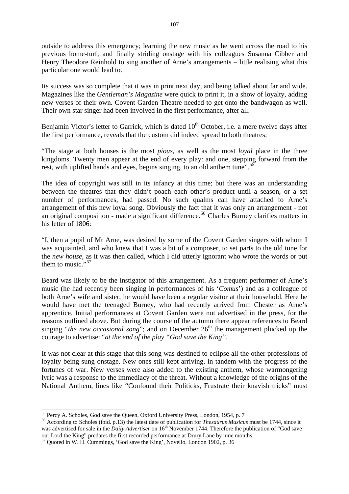outside to address this emergency; learning the new music as he went across the road to his previous home-turf; and finally striding onstage with his colleagues Susanna Cibber and Henry Theodore Reinhold to sing another of Arne's arrangements – little realising what this particular one would lead to.

Its success was so complete that it was in print next day, and being talked about far and wide. Magazines like the *Gentleman's Magazine* were quick to print it, in a show of loyalty, adding new verses of their own. Covent Garden Theatre needed to get onto the bandwagon as well. Their own star singer had been involved in the first performance, after all.

Benjamin Victor's letter to Garrick, which is dated  $10<sup>th</sup>$  October, i.e. a mere twelve days after the first performance, reveals that the custom did indeed spread to both theatres:

"The stage at both houses is the most *pious*, as well as the most *loyal* place in the three kingdoms. Twenty men appear at the end of every play: and one, stepping forward from the rest, with uplifted hands and eyes, begins singing, to an old anthem tune".<sup>[55](#page-15-0)</sup>

The idea of copyright was still in its infancy at this time; but there was an understanding between the theatres that they didn't poach each other's product until a season, or a set number of performances, had passed. No such qualms can have attached to Arne's arrangement of this new loyal song. Obviously the fact that it was only an arrangement - not an original composition - made a significant difference.<sup>[56](#page-15-1)</sup> Charles Burney clarifies matters in his letter of 1806:

"I, then a pupil of Mr Arne, was desired by some of the Covent Garden singers with whom I was acquainted, and who knew that I was a bit of a composer, to set parts to the old tune for the *new house*, as it was then called, which I did utterly ignorant who wrote the words or put them to music." $57$ 

Beard was likely to be the instigator of this arrangement. As a frequent performer of Arne's music (he had recently been singing in performances of his '*Comus*') and as a colleague of both Arne's wife and sister, he would have been a regular visitor at their household. Here he would have met the teenaged Burney, who had recently arrived from Chester as Arne's apprentice. Initial performances at Covent Garden were not advertised in the press, for the reasons outlined above. But during the course of the autumn there appear references to Beard singing "*the new occasional song*"; and on December 26<sup>th</sup> the management plucked up the courage to advertise: "*at the end of the play "God save the King"*.

It was not clear at this stage that this song was destined to eclipse all the other professions of loyalty being sung onstage. New ones still kept arriving, in tandem with the progress of the fortunes of war. New verses were also added to the existing anthem, whose warmongering lyric was a response to the immediacy of the threat. Without a knowledge of the origins of the National Anthem, lines like "Confound their Politicks, Frustrate their knavish tricks" must

<sup>&</sup>lt;sup>55</sup> Percy A. Scholes, God save the Queen, Oxford University Press, London, 1954, p. 7

<span id="page-15-1"></span><span id="page-15-0"></span><sup>55</sup> Percy A. Scholes, God save the Queen, Oxford University Press, London, 1954, p. 7 56 According to Scholes (ibid. p.13) the latest date of publication for *Thesaurus Musicus* must be 1744, since it was advertised for sale in the *Daily Advertiser* on 16<sup>th</sup> November 1744. Therefore the publication of "God save our Lord the King" predates the first recorded performance at Drury Lane by nine months.

<span id="page-15-2"></span><sup>57</sup> Quoted in W. H. Cummings, 'God save the King', Novello, London 1902, p. 36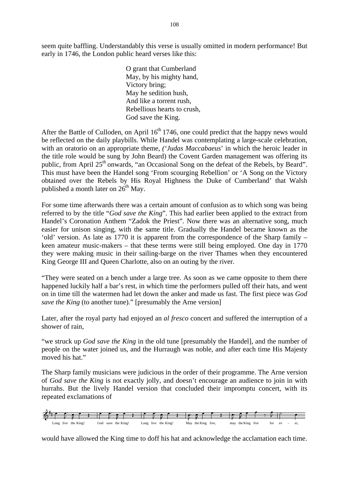seem quite baffling. Understandably this verse is usually omitted in modern performance! But early in 1746, the London public heard verses like this:

> O grant that Cumberland May, by his mighty hand, Victory bring; May he sedition hush, And like a torrent rush, Rebellious hearts to crush, God save the King.

After the Battle of Culloden, on April  $16<sup>th</sup> 1746$ , one could predict that the happy news would be reflected on the daily playbills. While Handel was contemplating a large-scale celebration, with an oratorio on an appropriate theme, *('Judas Maccabaeus*' in which the heroic leader in the title role would be sung by John Beard) the Covent Garden management was offering its public, from April 25<sup>th</sup> onwards, "an Occasional Song on the defeat of the Rebels, by Beard". This must have been the Handel song 'From scourging Rebellion' or 'A Song on the Victory obtained over the Rebels by His Royal Highness the Duke of Cumberland' that Walsh published a month later on  $26<sup>th</sup>$  May.

For some time afterwards there was a certain amount of confusion as to which song was being referred to by the title "*God save the King*". This had earlier been applied to the extract from Handel's Coronation Anthem "Zadok the Priest". Now there was an alternative song, much easier for unison singing, with the same title. Gradually the Handel became known as the 'old' version. As late as 1770 it is apparent from the correspondence of the Sharp family – keen amateur music-makers – that these terms were still being employed. One day in 1770 they were making music in their sailing-barge on the river Thames when they encountered King George III and Queen Charlotte, also on an outing by the river.

"They were seated on a bench under a large tree. As soon as we came opposite to them there happened luckily half a bar's rest, in which time the performers pulled off their hats, and went on in time till the watermen had let down the anker and made us fast. The first piece was *God save the King* (to another tune)." [presumably the Arne version]

Later, after the royal party had enjoyed an *al fresco* concert and suffered the interruption of a shower of rain,

"we struck up *God save the King* in the old tune [presumably the Handel], and the number of people on the water joined us, and the Hurraugh was noble, and after each time His Majesty moved his hat."

The Sharp family musicians were judicious in the order of their programme. The Arne version of *God save the King* is not exactly jolly, and doesn't encourage an audience to join in with hurrahs. But the lively Handel version that concluded their impromptu concert, with its repeated exclamations of



would have allowed the King time to doff his hat and acknowledge the acclamation each time.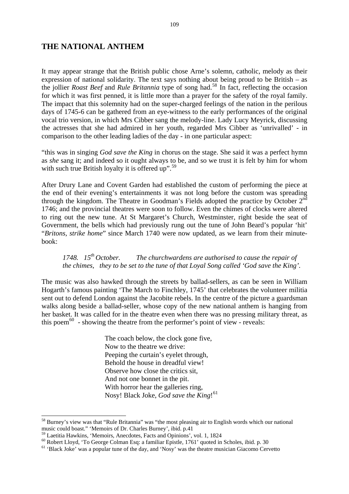### **THE NATIONAL ANTHEM**

It may appear strange that the British public chose Arne's solemn, catholic, melody as their expression of national solidarity. The text says nothing about being proud to be British – as the jollier *Roast Beef* and *Rule Britannia* type of song had.[58](#page-17-0) In fact, reflecting the occasion for which it was first penned, it is little more than a prayer for the safety of the royal family. The impact that this solemnity had on the super-charged feelings of the nation in the perilous days of 1745-6 can be gathered from an eye-witness to the early performances of the original vocal trio version, in which Mrs Cibber sang the melody-line. Lady Lucy Meyrick, discussing the actresses that she had admired in her youth, regarded Mrs Cibber as 'unrivalled' - in comparison to the other leading ladies of the day - in one particular aspect:

"this was in singing *God save the King* in chorus on the stage. She said it was a perfect hymn as *she* sang it; and indeed so it ought always to be, and so we trust it is felt by him for whom with such true British loyalty it is offered up".<sup>[59](#page-17-1)</sup>

After Drury Lane and Covent Garden had established the custom of performing the piece at the end of their evening's entertainments it was not long before the custom was spreading through the kingdom. The Theatre in Goodman's Fields adopted the practice by October 2<sup>nd</sup> 1746; and the provincial theatres were soon to follow. Even the chimes of clocks were altered to ring out the new tune. At St Margaret's Church, Westminster, right beside the seat of Government, the bells which had previously rung out the tune of John Beard's popular 'hit' "*Britons, strike home*" since March 1740 were now updated, as we learn from their minutebook:

### *1748. 15th October. The churchwardens are authorised to cause the repair of the chimes, they to be set to the tune of that Loyal Song called 'God save the King'.*

The music was also hawked through the streets by ballad-sellers, as can be seen in William Hogarth's famous painting 'The March to Finchley, 1745' that celebrates the volunteer militia sent out to defend London against the Jacobite rebels. In the centre of the picture a guardsman walks along beside a ballad-seller, whose copy of the new national anthem is hanging from her basket. It was called for in the theatre even when there was no pressing military threat, as this poem $^{60}$  $^{60}$  $^{60}$  - showing the theatre from the performer's point of view - reveals:

> The coach below, the clock gone five, Now to the theatre we drive: Peeping the curtain's eyelet through, Behold the house in dreadful view! Observe how close the critics sit, And not one bonnet in the pit. With horror hear the galleries ring, Nosy! Black Joke, *God save the King*! [61](#page-17-3)

<span id="page-17-0"></span><sup>&</sup>lt;sup>58</sup> Burney's view was that "Rule Britannia" was "the most pleasing air to English words which our national music could boast." 'Memoirs of Dr. Charles Burney', ibid. p.41

<span id="page-17-1"></span><sup>59</sup> Laetitia Hawkins, 'Memoirs, Anecdotes, Facts and Opinions', vol. 1, 1824

<sup>60</sup> Robert Lloyd, 'To George Colman Esq: a familiar Epistle, 1761' quoted in Scholes, ibid. p. 30

<span id="page-17-3"></span><span id="page-17-2"></span><sup>&</sup>lt;sup>61</sup> 'Black Joke' was a popular tune of the day, and 'Nosy' was the theatre musician Giacomo Cervetto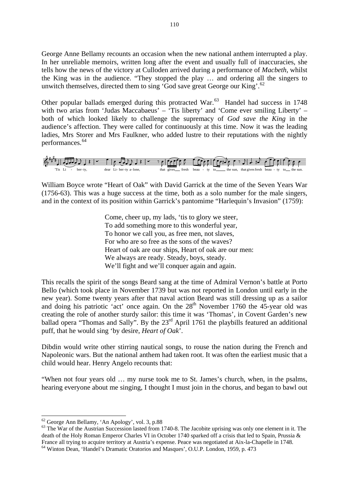George Anne Bellamy recounts an occasion when the new national anthem interrupted a play. In her unreliable memoirs, written long after the event and usually full of inaccuracies, she tells how the news of the victory at Culloden arrived during a performance of *Macbeth*, whilst the King was in the audience. "They stopped the play … and ordering all the singers to unwitch themselves, directed them to sing 'God save great George our King'.<sup>[62](#page-18-0)</sup>

Other popular ballads emerged during this protracted War.<sup>[63](#page-18-1)</sup> Handel had success in 1748 with two arias from 'Judas Maccabaeus' – 'Tis liberty' and 'Come ever smiling Liberty' – both of which looked likely to challenge the supremacy of *God save the King* in the audience's affection. They were called for continuously at this time. Now it was the leading ladies, Mrs Storer and Mrs Faulkner, who added lustre to their reputations with the nightly performances.[64](#page-18-2)



William Boyce wrote "Heart of Oak" with David Garrick at the time of the Seven Years War (1756-63). This was a huge success at the time, both as a solo number for the male singers, and in the context of its position within Garrick's pantomime "Harlequin's Invasion" (1759):

> Come, cheer up, my lads, 'tis to glory we steer, To add something more to this wonderful year, To honor we call you, as free men, not slaves, For who are so free as the sons of the waves? Heart of oak are our ships, Heart of oak are our men: We always are ready. Steady, boys, steady. We'll fight and we'll conquer again and again.

This recalls the spirit of the songs Beard sang at the time of Admiral Vernon's battle at Porto Bello (which took place in November 1739 but was not reported in London until early in the new year). Some twenty years after that naval action Beard was still dressing up as a sailor and doing his patriotic 'act' once again. On the  $28<sup>th</sup>$  November 1760 the 45-year old was creating the role of another sturdy sailor: this time it was 'Thomas', in Covent Garden's new ballad opera "Thomas and Sally". By the 23<sup>rd</sup> April 1761 the playbills featured an additional puff, that he would sing 'by desire, *Heart of Oak*'.

Dibdin would write other stirring nautical songs, to rouse the nation during the French and Napoleonic wars. But the national anthem had taken root. It was often the earliest music that a child would hear. Henry Angelo recounts that:

"When not four years old … my nurse took me to St. James's church, when, in the psalms, hearing everyone about me singing, I thought I must join in the chorus, and began to bawl out

 $62$  George Ann Bellamy, 'An Apology', vol. 3, p.88

<span id="page-18-1"></span><span id="page-18-0"></span><sup>&</sup>lt;sup>63</sup> The War of the Austrian Succession lasted from 1740-8. The Jacobite uprising was only one element in it. The death of the Holy Roman Emperor Charles VI in October 1740 sparked off a crisis that led to Spain, Prussia & France all trying to acquire territory at Austria's expense. Peace was negotiated at Aix-la-Chapelle in 1748. 64 Winton Dean, 'Handel's Dramatic Oratorios and Masques', O.U.P. London, 1959, p. 473

<span id="page-18-2"></span>